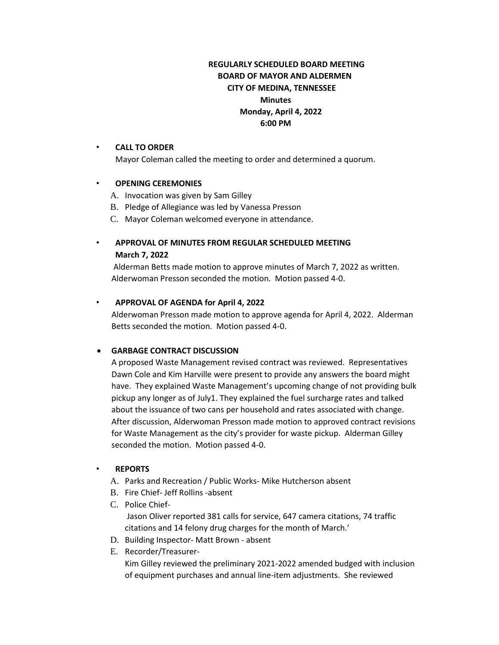## **REGULARLY SCHEDULED BOARD MEETING BOARD OF MAYOR AND ALDERMEN CITY OF MEDINA, TENNESSEE Minutes Monday, April 4, 2022 6:00 PM**

#### • **CALL TO ORDER**

Mayor Coleman called the meeting to order and determined a quorum.

#### • **OPENING CEREMONIES**

- A. Invocation was given by Sam Gilley
- B. Pledge of Allegiance was led by Vanessa Presson
- C. Mayor Coleman welcomed everyone in attendance.

## • **APPROVAL OF MINUTES FROM REGULAR SCHEDULED MEETING March 7, 2022**

Alderman Betts made motion to approve minutes of March 7, 2022 as written. Alderwoman Presson seconded the motion. Motion passed 4-0.

### • **APPROVAL OF AGENDA for April 4, 2022**

Alderwoman Presson made motion to approve agenda for April 4, 2022. Alderman Betts seconded the motion. Motion passed 4-0.

### • **GARBAGE CONTRACT DISCUSSION**

A proposed Waste Management revised contract was reviewed. Representatives Dawn Cole and Kim Harville were present to provide any answers the board might have. They explained Waste Management's upcoming change of not providing bulk pickup any longer as of July1. They explained the fuel surcharge rates and talked about the issuance of two cans per household and rates associated with change. After discussion, Alderwoman Presson made motion to approved contract revisions for Waste Management as the city's provider for waste pickup. Alderman Gilley seconded the motion. Motion passed 4-0.

### • **REPORTS**

A. Parks and Recreation / Public Works- Mike Hutcherson absent

- B. Fire Chief- Jeff Rollins -absent
- C. Police Chief-Jason Oliver reported 381 calls for service, 647 camera citations, 74 traffic citations and 14 felony drug charges for the month of March.'
- D. Building Inspector- Matt Brown absent
- E. Recorder/Treasurer-

Kim Gilley reviewed the preliminary 2021-2022 amended budged with inclusion of equipment purchases and annual line-item adjustments. She reviewed